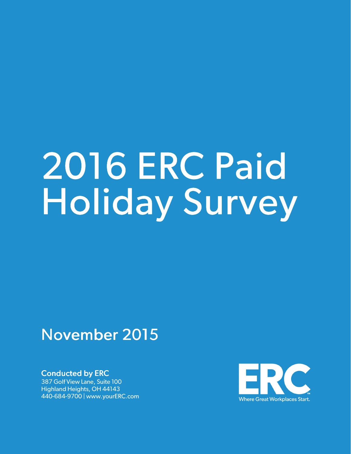# 2016ERC Paid Holiday Survey

### November 2015

**Conducted by ERC** 

387 Golf View Lane, Suite 100 Highland Heights, OH 44143 440-684-9700 | www.yourERC.com

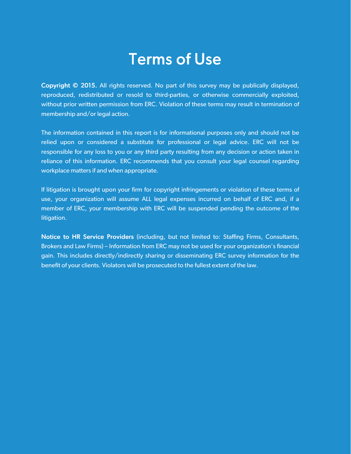### **Terms of Use**

Copyright © 2015. All rights reserved. No part of this survey may be publically displayed, reproduced, redistributed or resold to third-parties, or otherwise commercially exploited, without prior written permission from ERC. Violation of these terms may result in termination of membership and/or legal action.

The information contained in this report is for informational purposes only and should not be relied upon or considered a substitute for professional or legal advice. ERC will not be responsible for any loss to you or any third party resulting from any decision or action taken in reliance of this information. ERC recommends that you consult your legal counsel regarding workplace matters if and when appropriate.

If litigation is brought upon your firm for copyright infringements or violation of these terms of use, your organization will assume ALL legal expenses incurred on behalf of ERC and, if a member of ERC, your membership with ERC will be suspended pending the outcome of the litigation.

Notice to HR Service Providers (including, but not limited to: Staffing Firms, Consultants, Brokers and Law Firms) – Information from ERC may not be used for your organization's financial gain. This includes directly/indirectly sharing or disseminating ERC survey information for the benefit of your clients. Violators will be prosecuted to the fullest extent of the law.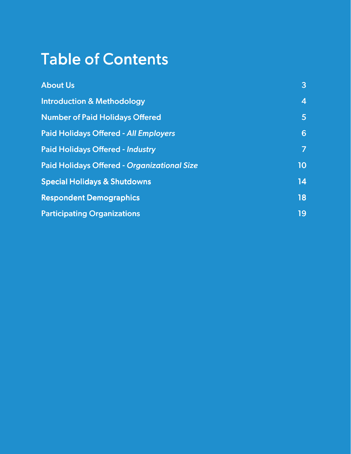### Table of Contents

| <b>About Us</b>                                    | $\mathbf{3}$            |
|----------------------------------------------------|-------------------------|
| <b>Introduction &amp; Methodology</b>              | $\overline{\mathbf{4}}$ |
| <b>Number of Paid Holidays Offered</b>             | 5                       |
| <b>Paid Holidays Offered - All Employers</b>       | 6                       |
| <b>Paid Holidays Offered - Industry</b>            | $\overline{7}$          |
| <b>Paid Holidays Offered - Organizational Size</b> | 10 <sub>1</sub>         |
| <b>Special Holidays &amp; Shutdowns</b>            | 14                      |
| <b>Respondent Demographics</b>                     | 18                      |
| <b>Participating Organizations</b>                 | 19                      |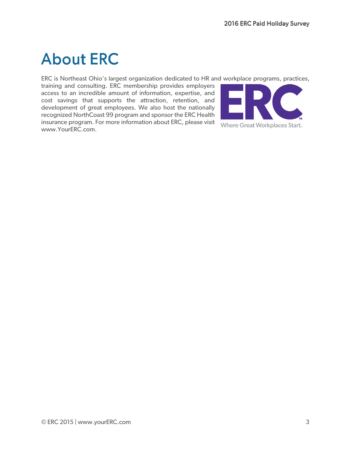### About ERC

ERC is Northeast Ohio's largest organization dedicated to HR and workplace programs, practices,

training and consulting. ERC membership provides employers access to an incredible amount of information, expertise, and cost savings that supports the attraction, retention, and development of great employees. We also host the nationally recognized NorthCoast 99 program and sponsor the ERC Health insurance program. For more information about ERC, please visit Where Great Workplaces Start. www.YourERC.com.

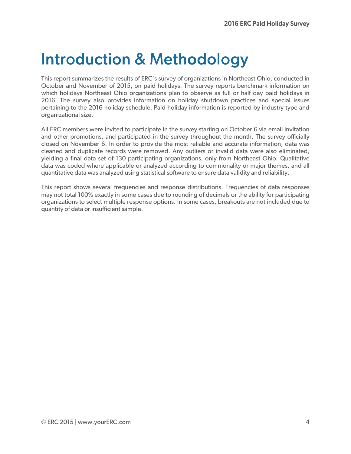### **Introduction & Methodology**

This report summarizes the results of ERC's survey of organizations in Northeast Ohio, conducted in October and November of 2015, on paid holidays. The survey reports benchmark information on which holidays Northeast Ohio organizations plan to observe as full or half day paid holidays in 2016. The survey also provides information on holiday shutdown practices and special issues pertaining to the 2016 holiday schedule. Paid holiday information is reported by industry type and organizational size.

All ERC members were invited to participate in the survey starting on October 6 via email invitation and other promotions, and participated in the survey throughout the month. The survey officially closed on November 6. In order to provide the most reliable and accurate information, data was cleaned and duplicate records were removed. Any outliers or invalid data were also eliminated, yielding a final data set of 130 participating organizations, only from Northeast Ohio. Qualitative data was coded where applicable or analyzed according to commonality or major themes, and all quantitative data was analyzed using statistical software to ensure data validity and reliability.

This report shows several frequencies and response distributions. Frequencies of data responses may not total 100% exactly in some cases due to rounding of decimals or the ability for participating organizations to select multiple response options. In some cases, breakouts are not included due to quantity of data or insufficient sample.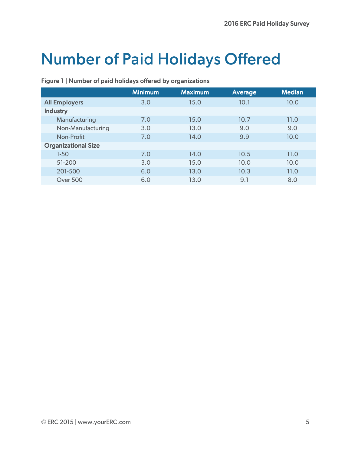### **Number of Paid Holidays Offered**

|                            | <b>Minimum</b> | <b>Maximum</b> | <b>Average</b> | <b>Median</b> |
|----------------------------|----------------|----------------|----------------|---------------|
| <b>All Employers</b>       | 3.0            | 15.0           | 10.1           | 10.0          |
| <b>Industry</b>            |                |                |                |               |
| Manufacturing              | 7.0            | 15.0           | 10.7           | 11.0          |
| Non-Manufacturing          | 3.0            | 13.0           | 9.0            | 9.0           |
| Non-Profit                 | 7.0            | 14.0           | 9.9            | 10.0          |
| <b>Organizational Size</b> |                |                |                |               |
| $1-50$                     | 7.0            | 14.0           | 10.5           | 11.0          |
| 51-200                     | 3.0            | 15.0           | 10.0           | 10.0          |
| 201-500                    | 6.0            | 13.0           | 10.3           | 11.0          |
| <b>Over 500</b>            | 6.0            | 13.0           | 9.1            | 8.0           |
|                            |                |                |                |               |

#### Figure 1 | Number of paid holidays offered by organizations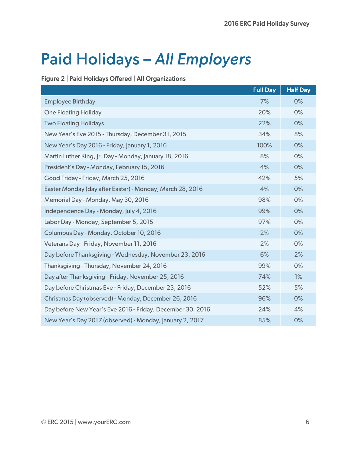### Paid Holidays - All Employers

#### Figure 2 | Paid Holidays Offered | All Organizations

|                                                            | <b>Full Day</b> | <b>Half Day</b> |
|------------------------------------------------------------|-----------------|-----------------|
| <b>Employee Birthday</b>                                   | 7%              | 0%              |
| <b>One Floating Holiday</b>                                | 20%             | 0%              |
| <b>Two Floating Holidays</b>                               | 22%             | 0%              |
| New Year's Eve 2015 - Thursday, December 31, 2015          | 34%             | 8%              |
| New Year's Day 2016 - Friday, January 1, 2016              | 100%            | 0%              |
| Martin Luther King, Jr. Day - Monday, January 18, 2016     | 8%              | 0%              |
| President's Day - Monday, February 15, 2016                | 4%              | 0%              |
| Good Friday - Friday, March 25, 2016                       | 42%             | 5%              |
| Easter Monday (day after Easter) - Monday, March 28, 2016  | 4%              | 0%              |
| Memorial Day - Monday, May 30, 2016                        | 98%             | 0%              |
| Independence Day - Monday, July 4, 2016                    | 99%             | 0%              |
| Labor Day - Monday, September 5, 2015                      | 97%             | 0%              |
| Columbus Day - Monday, October 10, 2016                    | 2%              | 0%              |
| Veterans Day - Friday, November 11, 2016                   | 2%              | 0%              |
| Day before Thanksgiving - Wednesday, November 23, 2016     | 6%              | 2%              |
| Thanksgiving - Thursday, November 24, 2016                 | 99%             | 0%              |
| Day after Thanksgiving - Friday, November 25, 2016         | 74%             | 1%              |
| Day before Christmas Eve - Friday, December 23, 2016       | 52%             | 5%              |
| Christmas Day (observed) - Monday, December 26, 2016       | 96%             | 0%              |
| Day before New Year's Eve 2016 - Friday, December 30, 2016 | 24%             | 4%              |
| New Year's Day 2017 (observed) - Monday, January 2, 2017   | 85%             | 0%              |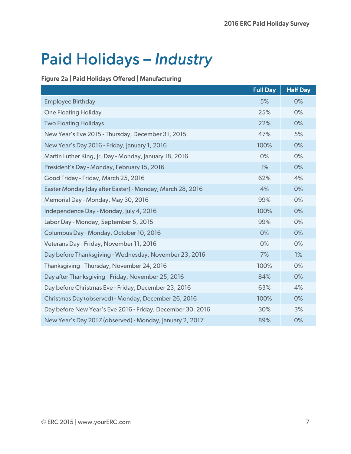# Paid Holidays - *Industry*

#### Figure 2a | Paid Holidays Offered | Manufacturing

|                                                            | <b>Full Day</b> | <b>Half Day</b> |
|------------------------------------------------------------|-----------------|-----------------|
| <b>Employee Birthday</b>                                   | 5%              | 0%              |
| <b>One Floating Holiday</b>                                | 25%             | 0%              |
| <b>Two Floating Holidays</b>                               | 22%             | 0%              |
| New Year's Eve 2015 - Thursday, December 31, 2015          | 47%             | 5%              |
| New Year's Day 2016 - Friday, January 1, 2016              | 100%            | 0%              |
| Martin Luther King, Jr. Day - Monday, January 18, 2016     | 0%              | 0%              |
| President's Day - Monday, February 15, 2016                | 1%              | 0%              |
| Good Friday - Friday, March 25, 2016                       | 62%             | 4%              |
| Easter Monday (day after Easter) - Monday, March 28, 2016  | 4%              | 0%              |
| Memorial Day - Monday, May 30, 2016                        | 99%             | 0%              |
| Independence Day - Monday, July 4, 2016                    | 100%            | 0%              |
| Labor Day - Monday, September 5, 2015                      | 99%             | 0%              |
| Columbus Day - Monday, October 10, 2016                    | 0%              | 0%              |
| Veterans Day - Friday, November 11, 2016                   | 0%              | 0%              |
| Day before Thanksgiving - Wednesday, November 23, 2016     | 7%              | 1%              |
| Thanksgiving - Thursday, November 24, 2016                 | 100%            | 0%              |
| Day after Thanksgiving - Friday, November 25, 2016         | 84%             | 0%              |
| Day before Christmas Eve - Friday, December 23, 2016       | 63%             | 4%              |
| Christmas Day (observed) - Monday, December 26, 2016       | 100%            | 0%              |
| Day before New Year's Eve 2016 - Friday, December 30, 2016 | 30%             | 3%              |
| New Year's Day 2017 (observed) - Monday, January 2, 2017   | 89%             | 0%              |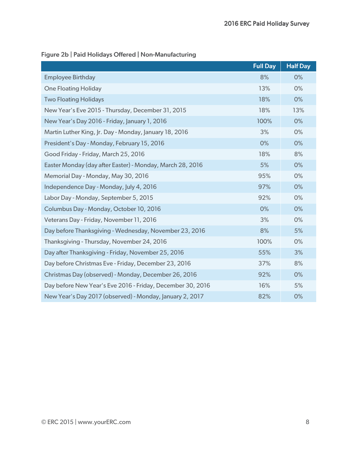|                                                            | <b>Full Day</b> | <b>Half Day</b> |
|------------------------------------------------------------|-----------------|-----------------|
| <b>Employee Birthday</b>                                   | 8%              | 0%              |
| <b>One Floating Holiday</b>                                | 13%             | 0%              |
| <b>Two Floating Holidays</b>                               | 18%             | 0%              |
| New Year's Eve 2015 - Thursday, December 31, 2015          | 18%             | 13%             |
| New Year's Day 2016 - Friday, January 1, 2016              | 100%            | 0%              |
| Martin Luther King, Jr. Day - Monday, January 18, 2016     | 3%              | 0%              |
| President's Day - Monday, February 15, 2016                | 0%              | 0%              |
| Good Friday - Friday, March 25, 2016                       | 18%             | 8%              |
| Easter Monday (day after Easter) - Monday, March 28, 2016  | 5%              | 0%              |
| Memorial Day - Monday, May 30, 2016                        | 95%             | 0%              |
| Independence Day - Monday, July 4, 2016                    | 97%             | 0%              |
| Labor Day - Monday, September 5, 2015                      | 92%             | 0%              |
| Columbus Day - Monday, October 10, 2016                    | 0%              | 0%              |
| Veterans Day - Friday, November 11, 2016                   | 3%              | 0%              |
| Day before Thanksgiving - Wednesday, November 23, 2016     | 8%              | 5%              |
| Thanksgiving - Thursday, November 24, 2016                 | 100%            | 0%              |
| Day after Thanksgiving - Friday, November 25, 2016         | 55%             | 3%              |
| Day before Christmas Eve - Friday, December 23, 2016       | 37%             | 8%              |
| Christmas Day (observed) - Monday, December 26, 2016       | 92%             | 0%              |
| Day before New Year's Eve 2016 - Friday, December 30, 2016 | 16%             | 5%              |
| New Year's Day 2017 (observed) - Monday, January 2, 2017   | 82%             | 0%              |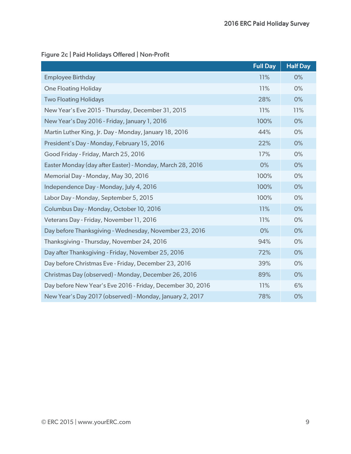#### Figure 2c | Paid Holidays Offered | Non-Profit

|                                                            | <b>Full Day</b> | <b>Half Day</b> |
|------------------------------------------------------------|-----------------|-----------------|
| <b>Employee Birthday</b>                                   | 11%             | 0%              |
| <b>One Floating Holiday</b>                                | 11%             | 0%              |
| <b>Two Floating Holidays</b>                               | 28%             | 0%              |
| New Year's Eve 2015 - Thursday, December 31, 2015          | 11%             | 11%             |
| New Year's Day 2016 - Friday, January 1, 2016              | 100%            | 0%              |
| Martin Luther King, Jr. Day - Monday, January 18, 2016     | 44%             | 0%              |
| President's Day - Monday, February 15, 2016                | 22%             | 0%              |
| Good Friday - Friday, March 25, 2016                       | 17%             | 0%              |
| Easter Monday (day after Easter) - Monday, March 28, 2016  | 0%              | 0%              |
| Memorial Day - Monday, May 30, 2016                        | 100%            | 0%              |
| Independence Day - Monday, July 4, 2016                    | 100%            | 0%              |
| Labor Day - Monday, September 5, 2015                      | 100%            | 0%              |
| Columbus Day - Monday, October 10, 2016                    | 11%             | 0%              |
| Veterans Day - Friday, November 11, 2016                   | 11%             | 0%              |
| Day before Thanksgiving - Wednesday, November 23, 2016     | 0%              | 0%              |
| Thanksgiving - Thursday, November 24, 2016                 | 94%             | 0%              |
| Day after Thanksgiving - Friday, November 25, 2016         | 72%             | 0%              |
| Day before Christmas Eve - Friday, December 23, 2016       | 39%             | 0%              |
| Christmas Day (observed) - Monday, December 26, 2016       | 89%             | 0%              |
| Day before New Year's Eve 2016 - Friday, December 30, 2016 | 11%             | 6%              |
| New Year's Day 2017 (observed) - Monday, January 2, 2017   | 78%             | 0%              |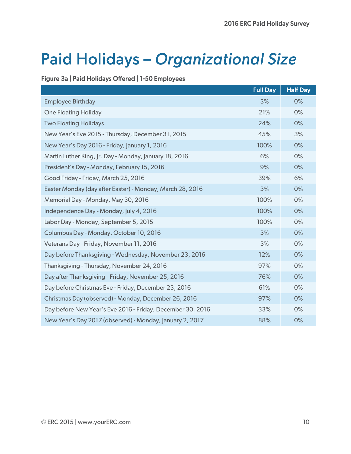## Paid Holidays - Organizational Size

#### Figure 3a | Paid Holidays Offered | 1-50 Employees

|                                                            | <b>Full Day</b> | <b>Half Day</b> |
|------------------------------------------------------------|-----------------|-----------------|
| <b>Employee Birthday</b>                                   | 3%              | 0%              |
| <b>One Floating Holiday</b>                                | 21%             | 0%              |
| <b>Two Floating Holidays</b>                               | 24%             | 0%              |
| New Year's Eve 2015 - Thursday, December 31, 2015          | 45%             | 3%              |
| New Year's Day 2016 - Friday, January 1, 2016              | 100%            | 0%              |
| Martin Luther King, Jr. Day - Monday, January 18, 2016     | 6%              | 0%              |
| President's Day - Monday, February 15, 2016                | 9%              | 0%              |
| Good Friday - Friday, March 25, 2016                       | 39%             | 6%              |
| Easter Monday (day after Easter) - Monday, March 28, 2016  | 3%              | 0%              |
| Memorial Day - Monday, May 30, 2016                        | 100%            | 0%              |
| Independence Day - Monday, July 4, 2016                    | 100%            | 0%              |
| Labor Day - Monday, September 5, 2015                      | 100%            | 0%              |
| Columbus Day - Monday, October 10, 2016                    | 3%              | 0%              |
| Veterans Day - Friday, November 11, 2016                   | 3%              | 0%              |
| Day before Thanksgiving - Wednesday, November 23, 2016     | 12%             | 0%              |
| Thanksgiving - Thursday, November 24, 2016                 | 97%             | 0%              |
| Day after Thanksgiving - Friday, November 25, 2016         | 76%             | 0%              |
| Day before Christmas Eve - Friday, December 23, 2016       | 61%             | 0%              |
| Christmas Day (observed) - Monday, December 26, 2016       | 97%             | 0%              |
| Day before New Year's Eve 2016 - Friday, December 30, 2016 | 33%             | 0%              |
| New Year's Day 2017 (observed) - Monday, January 2, 2017   | 88%             | 0%              |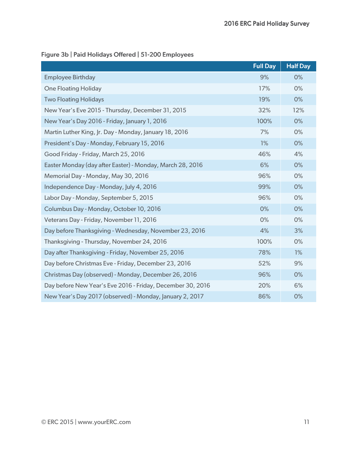|                                                            | <b>Full Day</b> | <b>Half Day</b> |
|------------------------------------------------------------|-----------------|-----------------|
| <b>Employee Birthday</b>                                   | 9%              | 0%              |
| <b>One Floating Holiday</b>                                | 17%             | 0%              |
| <b>Two Floating Holidays</b>                               | 19%             | 0%              |
| New Year's Eve 2015 - Thursday, December 31, 2015          | 32%             | 12%             |
| New Year's Day 2016 - Friday, January 1, 2016              | 100%            | 0%              |
| Martin Luther King, Jr. Day - Monday, January 18, 2016     | 7%              | 0%              |
| President's Day - Monday, February 15, 2016                | 1%              | 0%              |
| Good Friday - Friday, March 25, 2016                       | 46%             | 4%              |
| Easter Monday (day after Easter) - Monday, March 28, 2016  | 6%              | 0%              |
| Memorial Day - Monday, May 30, 2016                        | 96%             | 0%              |
| Independence Day - Monday, July 4, 2016                    | 99%             | 0%              |
| Labor Day - Monday, September 5, 2015                      | 96%             | 0%              |
| Columbus Day - Monday, October 10, 2016                    | 0%              | 0%              |
| Veterans Day - Friday, November 11, 2016                   | 0%              | 0%              |
| Day before Thanksgiving - Wednesday, November 23, 2016     | 4%              | 3%              |
| Thanksgiving - Thursday, November 24, 2016                 | 100%            | 0%              |
| Day after Thanksgiving - Friday, November 25, 2016         | 78%             | 1%              |
| Day before Christmas Eve - Friday, December 23, 2016       | 52%             | 9%              |
| Christmas Day (observed) - Monday, December 26, 2016       | 96%             | 0%              |
| Day before New Year's Eve 2016 - Friday, December 30, 2016 | 20%             | 6%              |
| New Year's Day 2017 (observed) - Monday, January 2, 2017   | 86%             | 0%              |

#### Figure 3b | Paid Holidays Offered | 51-200 Employees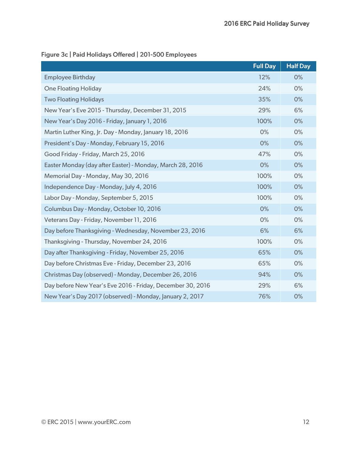|                                                            | <b>Full Day</b> | <b>Half Day</b> |
|------------------------------------------------------------|-----------------|-----------------|
| <b>Employee Birthday</b>                                   | 12%             | 0%              |
| <b>One Floating Holiday</b>                                | 24%             | 0%              |
| <b>Two Floating Holidays</b>                               | 35%             | 0%              |
| New Year's Eve 2015 - Thursday, December 31, 2015          | 29%             | 6%              |
| New Year's Day 2016 - Friday, January 1, 2016              | 100%            | 0%              |
| Martin Luther King, Jr. Day - Monday, January 18, 2016     | 0%              | 0%              |
| President's Day - Monday, February 15, 2016                | 0%              | 0%              |
| Good Friday - Friday, March 25, 2016                       | 47%             | 0%              |
| Easter Monday (day after Easter) - Monday, March 28, 2016  | 0%              | 0%              |
| Memorial Day - Monday, May 30, 2016                        | 100%            | 0%              |
| Independence Day - Monday, July 4, 2016                    | 100%            | 0%              |
| Labor Day - Monday, September 5, 2015                      | 100%            | 0%              |
| Columbus Day - Monday, October 10, 2016                    | 0%              | 0%              |
| Veterans Day - Friday, November 11, 2016                   | 0%              | 0%              |
| Day before Thanksgiving - Wednesday, November 23, 2016     | 6%              | 6%              |
| Thanksgiving - Thursday, November 24, 2016                 | 100%            | 0%              |
| Day after Thanksgiving - Friday, November 25, 2016         | 65%             | 0%              |
| Day before Christmas Eve - Friday, December 23, 2016       | 65%             | 0%              |
| Christmas Day (observed) - Monday, December 26, 2016       | 94%             | 0%              |
| Day before New Year's Eve 2016 - Friday, December 30, 2016 | 29%             | 6%              |
| New Year's Day 2017 (observed) - Monday, January 2, 2017   | 76%             | 0%              |

#### Figure 3c | Paid Holidays Offered | 201-500 Employees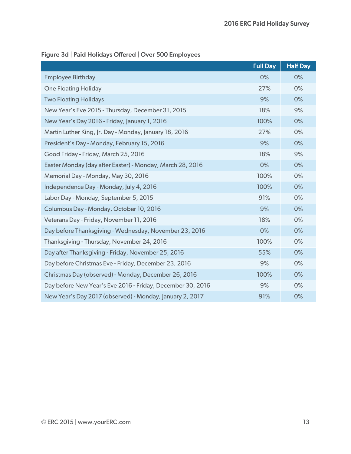|                                                            | <b>Full Day</b> | <b>Half Day</b> |
|------------------------------------------------------------|-----------------|-----------------|
| <b>Employee Birthday</b>                                   | 0%              | 0%              |
| <b>One Floating Holiday</b>                                | 27%             | 0%              |
| <b>Two Floating Holidays</b>                               | 9%              | 0%              |
| New Year's Eve 2015 - Thursday, December 31, 2015          | 18%             | 9%              |
| New Year's Day 2016 - Friday, January 1, 2016              | 100%            | 0%              |
| Martin Luther King, Jr. Day - Monday, January 18, 2016     | 27%             | 0%              |
| President's Day - Monday, February 15, 2016                | 9%              | 0%              |
| Good Friday - Friday, March 25, 2016                       | 18%             | 9%              |
| Easter Monday (day after Easter) - Monday, March 28, 2016  | 0%              | 0%              |
| Memorial Day - Monday, May 30, 2016                        | 100%            | 0%              |
| Independence Day - Monday, July 4, 2016                    | 100%            | 0%              |
| Labor Day - Monday, September 5, 2015                      | 91%             | 0%              |
| Columbus Day - Monday, October 10, 2016                    | 9%              | 0%              |
| Veterans Day - Friday, November 11, 2016                   | 18%             | 0%              |
| Day before Thanksgiving - Wednesday, November 23, 2016     | 0%              | 0%              |
| Thanksgiving - Thursday, November 24, 2016                 | 100%            | 0%              |
| Day after Thanksgiving - Friday, November 25, 2016         | 55%             | 0%              |
| Day before Christmas Eve - Friday, December 23, 2016       | 9%              | 0%              |
| Christmas Day (observed) - Monday, December 26, 2016       | 100%            | 0%              |
| Day before New Year's Eve 2016 - Friday, December 30, 2016 | 9%              | 0%              |
| New Year's Day 2017 (observed) - Monday, January 2, 2017   | 91%             | 0%              |

#### Figure 3d | Paid Holidays Offered | Over 500 Employees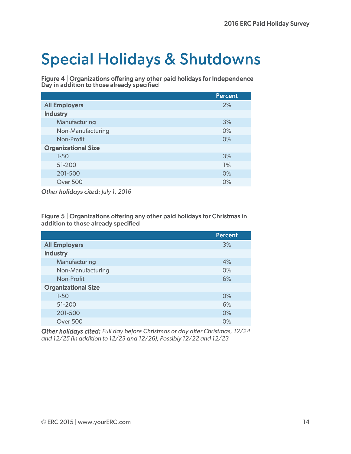### **Special Holidays & Shutdowns**

Figure 4 | Organizations offering any other paid holidays for Independence Day in addition to those already specified

|                            | <b>Percent</b> |
|----------------------------|----------------|
| <b>All Employers</b>       | 2%             |
| <b>Industry</b>            |                |
| Manufacturing              | 3%             |
| Non-Manufacturing          | 0%             |
| Non-Profit                 | 0%             |
| <b>Organizational Size</b> |                |
| $1-50$                     | 3%             |
| 51-200                     | 1%             |
| 201-500                    | 0%             |
| <b>Over 500</b>            | 0%             |

**Other holidays cited: July 1, 2016** 

Figure 5 | Organizations offering any other paid holidays for Christmas in addition to those already specified

|                            | <b>Percent</b> |
|----------------------------|----------------|
| <b>All Employers</b>       | 3%             |
| <b>Industry</b>            |                |
| Manufacturing              | 4%             |
| Non-Manufacturing          | 0%             |
| Non-Profit                 | 6%             |
| <b>Organizational Size</b> |                |
| $1-50$                     | $0\%$          |
| 51-200                     | 6%             |
| 201-500                    | 0%             |
| <b>Over 500</b>            | 0%             |

*Other holidays cited: Full day before Christmas or day after Christmas, 12/24 and 12/25 (in addition to 12/23 and 12/26), Possibly 12/22 and 12/23*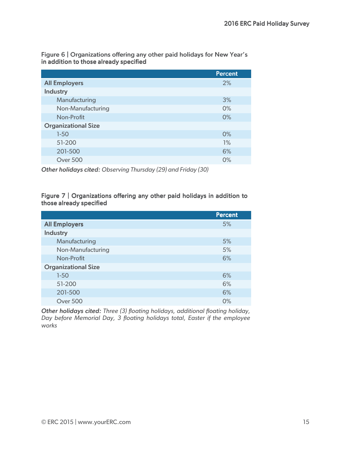| In addition to those already specified |                |
|----------------------------------------|----------------|
|                                        | <b>Percent</b> |
| <b>All Employers</b>                   | 2%             |
| <b>Industry</b>                        |                |
| Manufacturing                          | 3%             |
| Non-Manufacturing                      | $0\%$          |
| Non-Profit                             | $0\%$          |
| <b>Organizational Size</b>             |                |
| $1-50$                                 | $0\%$          |
| 51-200                                 | 1%             |
| 201-500                                | 6%             |
| <b>Over 500</b>                        | O%             |

Figure 6 | Organizations offering any other paid holidays for New Year's in addition to those already specified

*Other holidays cited: Observing Thursday (29) and F riday (30)* 

#### Figure 7 | Organizations offering any other paid holidays in addition to those already specified

|                            | <b>Percent</b> |
|----------------------------|----------------|
| <b>All Employers</b>       | 5%             |
| <b>Industry</b>            |                |
| Manufacturing              | 5%             |
| Non-Manufacturing          | 5%             |
| Non-Profit                 | 6%             |
| <b>Organizational Size</b> |                |
| $1-50$                     | 6%             |
| 51-200                     | 6%             |
| 201-500                    | 6%             |
| <b>Over 500</b>            | 0%             |

**Other holidays cited:** Three (3) floating holidays, additional floating holiday, *Day before Memorial Day, 3 floating holidays total, Easter if the employee works*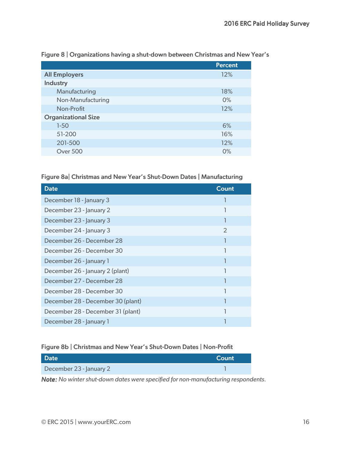|                            | <b>Percent</b> |
|----------------------------|----------------|
| <b>All Employers</b>       | 12%            |
| <b>Industry</b>            |                |
| Manufacturing              | 18%            |
| Non-Manufacturing          | $0\%$          |
| Non-Profit                 | 12%            |
| <b>Organizational Size</b> |                |
| $1-50$                     | 6%             |
| 51-200                     | 16%            |
| 201-500                    | 12%            |
| <b>Over 500</b>            | 0%             |

#### Figure 8 | Organizations having a shut-down between Christmas and New Year's

#### Figure 8a| Christmas and New Year's Shut-Down Dates | Manufacturing

| <b>Date</b>                       | Count         |
|-----------------------------------|---------------|
| December 18 - January 3           |               |
| December 23 - January 2           |               |
| December 23 - January 3           |               |
| December 24 - January 3           | $\mathcal{P}$ |
| December 26 - December 28         |               |
| December 26 - December 30         |               |
| December 26 - January 1           |               |
| December 26 - January 2 (plant)   |               |
| December 27 - December 28         |               |
| December 28 - December 30         |               |
| December 28 - December 30 (plant) |               |
| December 28 - December 31 (plant) |               |
| December 28 - January 1           |               |

#### Figure 8b | Christmas and New Year's Shut-Down Dates | Non-Profit

| <b>Date</b>             | Count |
|-------------------------|-------|
| December 23 - January 2 |       |

*Note: No winter shut-down dates were specified for non-manufacturing respondents.*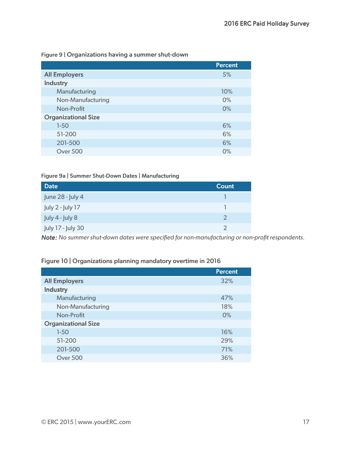#### Figure 9 | Organizations having a summer shut-down

|                            | <b>Percent</b> |
|----------------------------|----------------|
| <b>All Employers</b>       | 5%             |
| <b>Industry</b>            |                |
| Manufacturing              | 10%            |
| Non-Manufacturing          | 0%             |
| Non-Profit                 | 0%             |
| <b>Organizational Size</b> |                |
| $1-50$                     | 6%             |
| 51-200                     | 6%             |
| 201-500                    | 6%             |
| Over 500                   | 0%             |

#### Figure 9a | Summer Shut-Down Dates | Manufacturing

| <b>Date</b>         | Count |
|---------------------|-------|
| June 28 - July 4    |       |
| July 2 - July 17    |       |
| July $4$ - July $8$ | っ     |
| July 17 - July 30   | っ     |

*Note: No summer shut-down dates were specified for non-manufacturing or non-profit respondents.* 

#### Figure 10 | Organizations planning mandatory overtime in 2016

|                            | <b>Percent</b> |
|----------------------------|----------------|
| <b>All Employers</b>       | 32%            |
| <b>Industry</b>            |                |
| Manufacturing              | 47%            |
| Non-Manufacturing          | 18%            |
| Non-Profit                 | 0%             |
| <b>Organizational Size</b> |                |
| $1-50$                     | 16%            |
| 51-200                     | 29%            |
| 201-500                    | 71%            |
| Over 500                   | 36%            |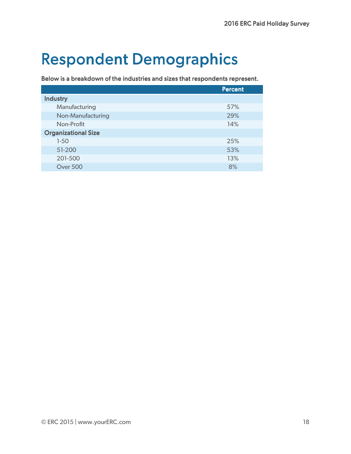### **Respondent Demographics**

Below is a breakdown of the industries and sizes that respondents represent.

|                            | <b>Percent</b> |
|----------------------------|----------------|
| <b>Industry</b>            |                |
| Manufacturing              | 57%            |
| Non-Manufacturing          | 29%            |
| Non-Profit                 | 14%            |
| <b>Organizational Size</b> |                |
| $1-50$                     | 25%            |
| 51-200                     | 53%            |
| 201-500                    | 13%            |
| Over 500                   | 8%             |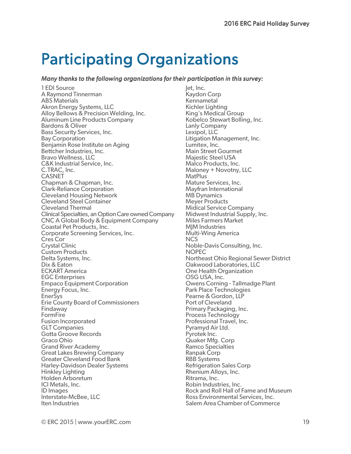### **Participating Organizations**

#### *Many thanks to the following organizations for their participation in this survey:*

1 EDI Source A Raymond Tinnerman ABS Materials Akron Energy Systems, LLC Alloy Bellows & Precision Welding, Inc. Aluminum Line Products Company Bardons & Oliver Bass Security Services, Inc. Bay Corporation Benjamin Rose Institute on Aging Bettcher Industries, Inc. Bravo Wellness, LLC C&K Industrial Service, Inc. C.TRAC, Inc. **CASNET** Chapman & Chapman, Inc. Clark-Reliance Corporation Cleveland Housing Network Cleveland Steel Container Cleveland Thermal Clinical Specialties, an Option Care owned Company CNC A Global Body & Equipment Company Coastal Pet Products, Inc. Corporate Screening Services, Inc. Cres Cor Crystal Clinic Custom Products Delta Systems, Inc. Dix & Eaton ECKART America EGC Enterprises Empaco Equipment Corporation Energy Focus, Inc. EnerSys Erie County Board of Commissioners Findaway FormFire Fusion Incorporated GLT Companies Gotta Groove Records Graco Ohio Grand River Academy Great Lakes Brewing Company Greater Cleveland Food Bank Harley-Davidson Dealer Systems Hinkley Lighting Holden Arboretum ICI Metals, Inc. ID Images Interstate-McBee, LLC Iten Industries

let, Inc. Kaydon Corp Kennametal Kichler Lighting King's Medical Group Kobelco Stewart Bolling, Inc. Lanly Company Lexipol, LLC Litigation Management, Inc. Lumitex, Inc. Main Street Gourmet Majestic Steel USA Malco Products, Inc. Maloney + Novotny, LLC **MatPlus** Mature Services, Inc. Mayfran International MB Dynamics Meyer Products Midical Service Company Midwest Industrial Supply, Inc. Miles Farmers Market **MIM Industries** Multi-Wing America **NCS** Noble-Davis Consulting, Inc. NOPEC Northeast Ohio Regional Sewer District Oakwood Laboratories, LLC One Health Organization OSG USA, Inc. Owens Corning - Tallmadge Plant Park Place Technologies Pearne & Gordon, LLP Port of Cleveland Primary Packaging, Inc. Process Technology Professional Travel, Inc. Pyramyd Air Ltd. Pyrotek Inc. Quaker Mfg. Corp Ramco Specialties Ranpak Corp RBB Systems Refrigeration Sales Corp Rhenium Alloys, Inc. Ritrama, Inc. Robin Industries, Inc. Rock and Roll Hall of Fame and Museum Ross Environmental Services, Inc. Salem Area Chamber of Commerce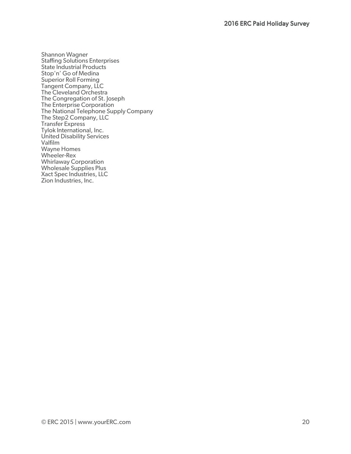Shannon Wagner Staffing Solutions Enterprises State Industrial Products Stop'n' Go of Medina Superior Roll Forming Tangent Company, LLC The Cleveland Orchestra The Congregation of St. Joseph The Enterprise Corporation The National Telephone Supply Company The Step2 Company, LLC Transfer Express Tylok International, Inc. United Disability Services Valfilm Wayne Homes Wheeler-Rex Whirlaway Corporation Wholesale Supplies Plus Xact Spec Industries, LLC Zion Industries, Inc.